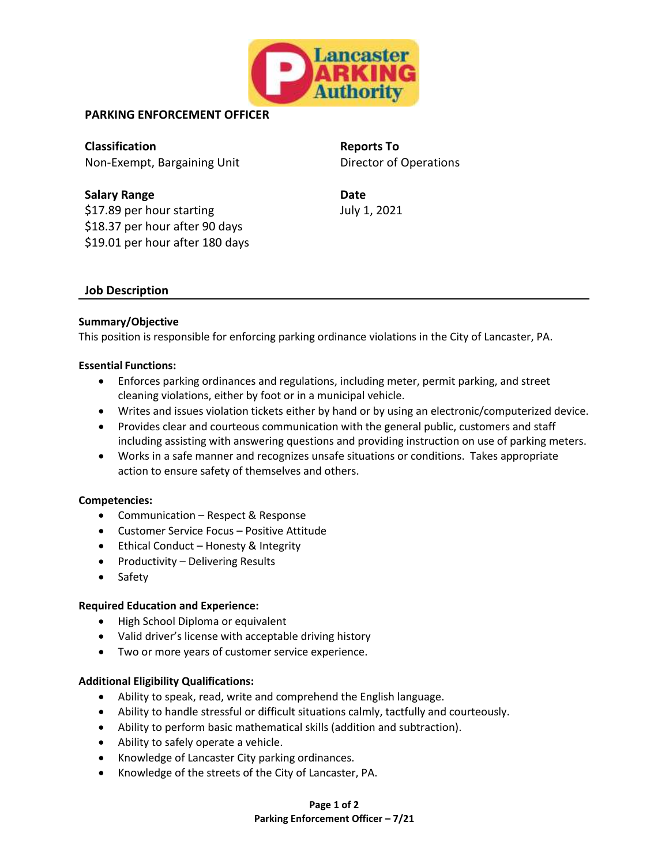

# **PARKING ENFORCEMENT OFFICER**

**Classification Reports To** Non-Exempt, Bargaining Unit Director of Operations

**Salary Range**  Date **Date** \$17.89 per hour starting \$18.37 per hour after 90 days \$19.01 per hour after 180 days

July 1, 2021

## **Job Description**

### **Summary/Objective**

This position is responsible for enforcing parking ordinance violations in the City of Lancaster, PA.

#### **Essential Functions:**

- Enforces parking ordinances and regulations, including meter, permit parking, and street cleaning violations, either by foot or in a municipal vehicle.
- Writes and issues violation tickets either by hand or by using an electronic/computerized device.
- Provides clear and courteous communication with the general public, customers and staff including assisting with answering questions and providing instruction on use of parking meters.
- Works in a safe manner and recognizes unsafe situations or conditions. Takes appropriate action to ensure safety of themselves and others.

### **Competencies:**

- Communication Respect & Response
- Customer Service Focus Positive Attitude
- Ethical Conduct Honesty & Integrity
- Productivity Delivering Results
- Safety

#### **Required Education and Experience:**

- High School Diploma or equivalent
- Valid driver's license with acceptable driving history
- Two or more years of customer service experience.

### **Additional Eligibility Qualifications:**

- Ability to speak, read, write and comprehend the English language.
- Ability to handle stressful or difficult situations calmly, tactfully and courteously.
- Ability to perform basic mathematical skills (addition and subtraction).
- Ability to safely operate a vehicle.
- Knowledge of Lancaster City parking ordinances.
- Knowledge of the streets of the City of Lancaster, PA.